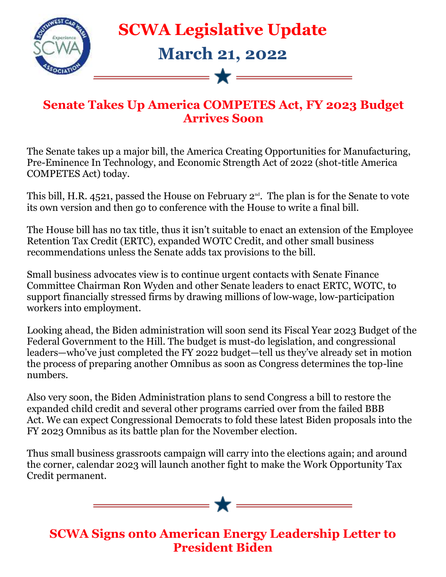

## **SCWA Legislative Update**

## **March 21, 2022**

## **Senate Takes Up America COMPETES Act, FY 2023 Budget Arrives Soon**

—— <del>+</del> ——

The Senate takes up a major bill, the America Creating Opportunities for Manufacturing, Pre-Eminence In Technology, and Economic Strength Act of 2022 (shot-title America COMPETES Act) today.

This bill, H.R. 4521, passed the House on February  $2^{nd}$ . The plan is for the Senate to vote its own version and then go to conference with the House to write a final bill.

The House bill has no tax title, thus it isn't suitable to enact an extension of the Employee Retention Tax Credit (ERTC), expanded WOTC Credit, and other small business recommendations unless the Senate adds tax provisions to the bill.

Small business advocates view is to continue urgent contacts with Senate Finance Committee Chairman Ron Wyden and other Senate leaders to enact ERTC, WOTC, to support financially stressed firms by drawing millions of low-wage, low-participation workers into employment.

Looking ahead, the Biden administration will soon send its Fiscal Year 2023 Budget of the Federal Government to the Hill. The budget is must-do legislation, and congressional leaders—who've just completed the FY 2022 budget—tell us they've already set in motion the process of preparing another Omnibus as soon as Congress determines the top-line numbers.

Also very soon, the Biden Administration plans to send Congress a bill to restore the expanded child credit and several other programs carried over from the failed BBB Act. We can expect Congressional Democrats to fold these latest Biden proposals into the FY 2023 Omnibus as its battle plan for the November election.

Thus small business grassroots campaign will carry into the elections again; and around the corner, calendar 2023 will launch another fight to make the Work Opportunity Tax Credit permanent.

 $\longrightarrow \star$   $\equiv$ 

**SCWA Signs onto American Energy Leadership Letter to President Biden**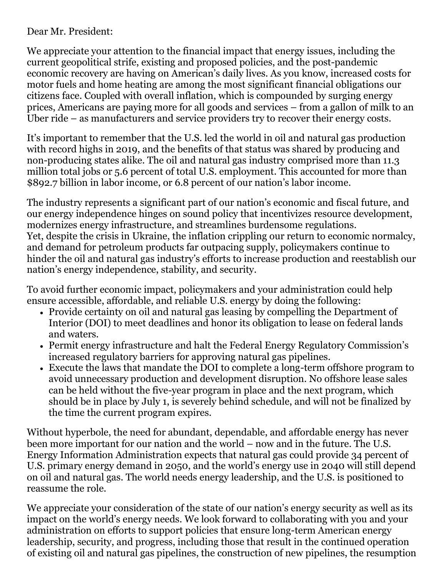## Dear Mr. President:

We appreciate your attention to the financial impact that energy issues, including the current geopolitical strife, existing and proposed policies, and the post-pandemic economic recovery are having on American's daily lives. As you know, increased costs for motor fuels and home heating are among the most significant financial obligations our citizens face. Coupled with overall inflation, which is compounded by surging energy prices, Americans are paying more for all goods and services – from a gallon of milk to an Uber ride – as manufacturers and service providers try to recover their energy costs.

It's important to remember that the U.S. led the world in oil and natural gas production with record highs in 2019, and the benefits of that status was shared by producing and non-producing states alike. The oil and natural gas industry comprised more than 11.3 million total jobs or 5.6 percent of total U.S. employment. This accounted for more than \$892.7 billion in labor income, or 6.8 percent of our nation's labor income.

The industry represents a significant part of our nation's economic and fiscal future, and our energy independence hinges on sound policy that incentivizes resource development, modernizes energy infrastructure, and streamlines burdensome regulations. Yet, despite the crisis in Ukraine, the inflation crippling our return to economic normalcy, and demand for petroleum products far outpacing supply, policymakers continue to hinder the oil and natural gas industry's efforts to increase production and reestablish our nation's energy independence, stability, and security.

To avoid further economic impact, policymakers and your administration could help ensure accessible, affordable, and reliable U.S. energy by doing the following:

- Provide certainty on oil and natural gas leasing by compelling the Department of Interior (DOI) to meet deadlines and honor its obligation to lease on federal lands and waters.
- Permit energy infrastructure and halt the Federal Energy Regulatory Commission's increased regulatory barriers for approving natural gas pipelines.
- Execute the laws that mandate the DOI to complete a long-term offshore program to avoid unnecessary production and development disruption. No offshore lease sales can be held without the five-year program in place and the next program, which should be in place by July 1, is severely behind schedule, and will not be finalized by the time the current program expires.

Without hyperbole, the need for abundant, dependable, and affordable energy has never been more important for our nation and the world – now and in the future. The U.S. Energy Information Administration expects that natural gas could provide 34 percent of U.S. primary energy demand in 2050, and the world's energy use in 2040 will still depend on oil and natural gas. The world needs energy leadership, and the U.S. is positioned to reassume the role.

We appreciate your consideration of the state of our nation's energy security as well as its impact on the world's energy needs. We look forward to collaborating with you and your administration on efforts to support policies that ensure long-term American energy leadership, security, and progress, including those that result in the continued operation of existing oil and natural gas pipelines, the construction of new pipelines, the resumption